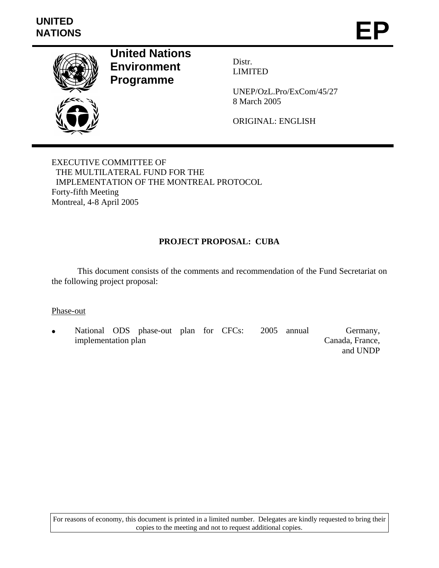

**United Nations Environment Programme** 

Distr. LIMITED

UNEP/OzL.Pro/ExCom/45/27 8 March 2005

ORIGINAL: ENGLISH

EXECUTIVE COMMITTEE OF THE MULTILATERAL FUND FOR THE IMPLEMENTATION OF THE MONTREAL PROTOCOL Forty-fifth Meeting Montreal, 4-8 April 2005

## **PROJECT PROPOSAL: CUBA**

 This document consists of the comments and recommendation of the Fund Secretariat on the following project proposal:

#### Phase-out

National ODS phase-out plan for CFCs: 2005 annual implementation plan Germany, Canada, France, and UNDP

For reasons of economy, this document is printed in a limited number. Delegates are kindly requested to bring their copies to the meeting and not to request additional copies.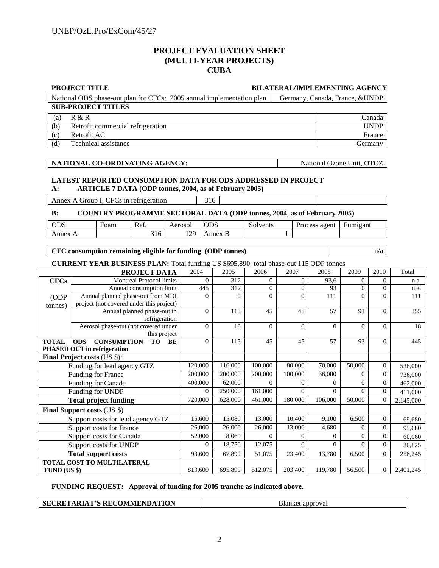#### **PROJECT EVALUATION SHEET (MULTI-YEAR PROJECTS) CUBA**

|                                                                                               | <b>PROJECT TITLE</b><br><b>BILATERAL/IMPLEMENTING AGENCY</b>                                             |                                                                                                |                          |                    |                     |                            |                          |                                    |                                      |         |
|-----------------------------------------------------------------------------------------------|----------------------------------------------------------------------------------------------------------|------------------------------------------------------------------------------------------------|--------------------------|--------------------|---------------------|----------------------------|--------------------------|------------------------------------|--------------------------------------|---------|
|                                                                                               | National ODS phase-out plan for CFCs: 2005 annual implementation plan<br>Germany, Canada, France, & UNDP |                                                                                                |                          |                    |                     |                            |                          |                                    |                                      |         |
| <b>SUB-PROJECT TITLES</b>                                                                     |                                                                                                          |                                                                                                |                          |                    |                     |                            |                          |                                    |                                      |         |
| (a)                                                                                           | R & R<br>Canada                                                                                          |                                                                                                |                          |                    |                     |                            |                          |                                    |                                      |         |
| (b)                                                                                           | <b>UNDP</b><br>Retrofit commercial refrigeration                                                         |                                                                                                |                          |                    |                     |                            |                          |                                    |                                      |         |
| (c)                                                                                           | Retrofit AC<br>France                                                                                    |                                                                                                |                          |                    |                     |                            |                          |                                    |                                      |         |
| (d)                                                                                           | Technical assistance                                                                                     | Germany                                                                                        |                          |                    |                     |                            |                          |                                    |                                      |         |
|                                                                                               |                                                                                                          |                                                                                                |                          |                    |                     |                            |                          |                                    |                                      |         |
|                                                                                               | NATIONAL CO-ORDINATING AGENCY:<br>National Ozone Unit, OTOZ                                              |                                                                                                |                          |                    |                     |                            |                          |                                    |                                      |         |
|                                                                                               |                                                                                                          |                                                                                                |                          |                    |                     |                            |                          |                                    |                                      |         |
| <b>LATEST REPORTED CONSUMPTION DATA FOR ODS ADDRESSED IN PROJECT</b>                          |                                                                                                          |                                                                                                |                          |                    |                     |                            |                          |                                    |                                      |         |
| <b>ARTICLE 7 DATA (ODP tonnes, 2004, as of February 2005)</b><br>A:                           |                                                                                                          |                                                                                                |                          |                    |                     |                            |                          |                                    |                                      |         |
| 316                                                                                           |                                                                                                          |                                                                                                |                          |                    |                     |                            |                          |                                    |                                      |         |
| Annex A Group I, CFCs in refrigeration                                                        |                                                                                                          |                                                                                                |                          |                    |                     |                            |                          |                                    |                                      |         |
| <b>COUNTRY PROGRAMME SECTORAL DATA (ODP tonnes, 2004, as of February 2005)</b><br>B:          |                                                                                                          |                                                                                                |                          |                    |                     |                            |                          |                                    |                                      |         |
| <b>ODS</b>                                                                                    | Foam                                                                                                     | Ref.                                                                                           | Aerosol                  | <b>ODS</b>         | Solvents            |                            | Process agent            | Fumigant                           |                                      |         |
| Annex A                                                                                       |                                                                                                          | 316                                                                                            | 129                      | Annex B            |                     |                            |                          |                                    |                                      |         |
|                                                                                               |                                                                                                          |                                                                                                |                          |                    |                     |                            |                          |                                    |                                      |         |
| CFC consumption remaining eligible for funding (ODP tonnes)<br>n/a                            |                                                                                                          |                                                                                                |                          |                    |                     |                            |                          |                                    |                                      |         |
| <b>CURRENT YEAR BUSINESS PLAN:</b> Total funding US \$695,890: total phase-out 115 ODP tonnes |                                                                                                          |                                                                                                |                          |                    |                     |                            |                          |                                    |                                      |         |
|                                                                                               |                                                                                                          | PROJECT DATA                                                                                   | 2004                     | 2005               | 2006                | 2007                       | 2008                     | 2009                               | 2010                                 | Total   |
| <b>CFCs</b>                                                                                   |                                                                                                          | Montreal Protocol limits                                                                       | $\overline{0}$           | 312                | $\mathbf{0}$        | $\mathbf{0}$               | 93,6                     | $\mathbf{0}$                       | $\overline{0}$                       | n.a.    |
|                                                                                               |                                                                                                          | Annual consumption limit                                                                       | 445                      | 312                | $\mathbf{0}$        | $\boldsymbol{0}$           | 93                       | $\boldsymbol{0}$                   | $\theta$                             | n.a.    |
| ODP                                                                                           | Annual planned phase-out from MDI                                                                        |                                                                                                | $\Omega$                 | $\Omega$           | $\Omega$            | $\Omega$                   | 111                      | $\Omega$                           | $\Omega$                             | 111     |
| tonnes)                                                                                       |                                                                                                          | project (not covered under this project)<br>Annual planned phase-out in<br>$\mathbf{0}$<br>115 |                          |                    |                     |                            |                          |                                    |                                      |         |
|                                                                                               |                                                                                                          |                                                                                                |                          |                    | 45                  | 45                         | 57                       | 93                                 | $\mathbf{0}$                         | 355     |
|                                                                                               | Aerosol phase-out (not covered under                                                                     | refrigeration                                                                                  | $\mathbf{0}$             | 18                 | $\theta$            | $\mathbf{0}$               | $\Omega$                 | $\mathbf{0}$                       | $\theta$                             | 18      |
|                                                                                               |                                                                                                          | this project                                                                                   |                          |                    |                     |                            |                          |                                    |                                      |         |
| <b>TOTAL</b>                                                                                  | <b>CONSUMPTION</b><br><b>ODS</b>                                                                         | <b>TO</b><br><b>BE</b>                                                                         | $\mathbf{0}$             | 115                | 45                  | 45                         | 57                       | 93                                 | $\mathbf{0}$                         | 445     |
|                                                                                               | PHASED OUT in refrigeration                                                                              |                                                                                                |                          |                    |                     |                            |                          |                                    |                                      |         |
|                                                                                               | Final Project costs (US \$):                                                                             |                                                                                                |                          |                    |                     |                            |                          |                                    |                                      |         |
|                                                                                               | Funding for lead agency GTZ                                                                              | 120,000<br>200,000                                                                             | 116,000                  | 100,000            | 80,000              | 70,000                     | 50,000                   | $\overline{0}$                     | 536,000                              |         |
|                                                                                               | Funding for France                                                                                       |                                                                                                |                          | 200,000            | 200,000             | 100,000                    | 36,000                   | $\mathbf{0}$                       | $\overline{0}$                       | 736,000 |
|                                                                                               | Funding for Canada                                                                                       |                                                                                                | 400,000                  | 62,000             | $\Omega$            | $\overline{0}$             | $\Omega$                 | $\mathbf{0}$                       | $\overline{0}$                       | 462,000 |
|                                                                                               | Funding for UNDP                                                                                         | $\mathbf{0}$<br>720,000                                                                        | 250,000<br>628,000       | 161,000<br>461,000 | $\Omega$<br>180,000 | $\Omega$<br>106,000        | $\overline{0}$<br>50,000 | $\overline{0}$<br>$\mathbf{0}$     | 411,000                              |         |
|                                                                                               | <b>Total project funding</b>                                                                             |                                                                                                |                          |                    |                     |                            |                          |                                    | 2,145,000                            |         |
|                                                                                               | <b>Final Support costs (US \$)</b>                                                                       |                                                                                                |                          |                    |                     |                            |                          |                                    |                                      |         |
|                                                                                               | Support costs for lead agency GTZ                                                                        | 15,600                                                                                         | 15,080                   | 13,000             | 10,400              | 9,100                      | 6,500                    | $\boldsymbol{0}$                   | 69,680                               |         |
|                                                                                               | <b>Support costs for France</b>                                                                          |                                                                                                | 26,000                   | 26,000<br>8,060    | 26,000<br>$\Omega$  | 13,000                     | 4,680<br>$\overline{0}$  | $\overline{0}$                     | $\boldsymbol{0}$                     | 95,680  |
|                                                                                               | Support costs for Canada                                                                                 |                                                                                                | 52,000<br>$\overline{0}$ | 18,750             | 12,075              | $\overline{0}$<br>$\Omega$ | $\overline{0}$           | $\boldsymbol{0}$<br>$\overline{0}$ | $\boldsymbol{0}$<br>$\boldsymbol{0}$ | 60,060  |
|                                                                                               | Support costs for UNDP<br><b>Total support costs</b>                                                     |                                                                                                |                          |                    |                     |                            |                          |                                    |                                      | 30,825  |
|                                                                                               | TOTAL COST TO MULTILATERAL                                                                               |                                                                                                | 93,600                   | 67,890             | 51,075              | 23,400                     | 13,780                   | 6,500                              | $\boldsymbol{0}$                     | 256,245 |
| $FUND$ (US \$)                                                                                |                                                                                                          | 813,600                                                                                        | 695,890                  | 512,075            | 203,400             | 119,780                    | 56,500                   | $\mathbf{0}$                       | 2,401,245                            |         |

**FUNDING REQUEST: Approval of funding for 2005 tranche as indicated above**.

**Blanket approval**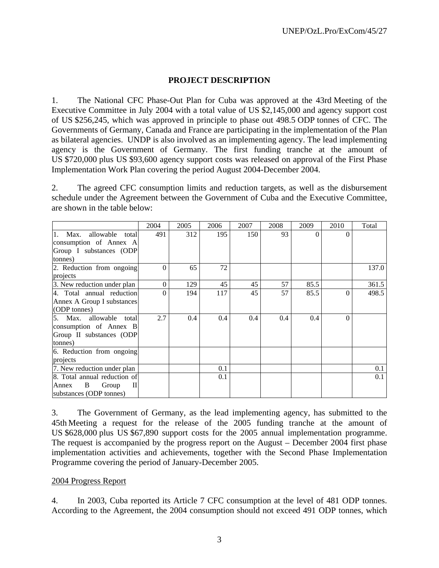#### **PROJECT DESCRIPTION**

1. The National CFC Phase-Out Plan for Cuba was approved at the 43rd Meeting of the Executive Committee in July 2004 with a total value of US \$2,145,000 and agency support cost of US \$256,245, which was approved in principle to phase out 498.5 ODP tonnes of CFC. The Governments of Germany, Canada and France are participating in the implementation of the Plan as bilateral agencies. UNDP is also involved as an implementing agency. The lead implementing agency is the Government of Germany. The first funding tranche at the amount of US \$720,000 plus US \$93,600 agency support costs was released on approval of the First Phase Implementation Work Plan covering the period August 2004-December 2004.

2. The agreed CFC consumption limits and reduction targets, as well as the disbursement schedule under the Agreement between the Government of Cuba and the Executive Committee, are shown in the table below:

|                               | 2004     | 2005 | 2006 | 2007 | 2008 | 2009 | 2010     | Total |
|-------------------------------|----------|------|------|------|------|------|----------|-------|
| 1. Max.<br>allowable<br>total | 491      | 312  | 195  | 150  | 93   | 0    | $\theta$ |       |
| consumption of Annex A        |          |      |      |      |      |      |          |       |
| Group I substances (ODP       |          |      |      |      |      |      |          |       |
| tonnes)                       |          |      |      |      |      |      |          |       |
| 2. Reduction from ongoing     | $\Omega$ | 65   | 72   |      |      |      |          | 137.0 |
| projects                      |          |      |      |      |      |      |          |       |
| 3. New reduction under plan   | $\Omega$ | 129  | 45   | 45   | 57   | 85.5 |          | 361.5 |
| 4. Total annual reduction     | $\Omega$ | 194  | 117  | 45   | 57   | 85.5 | $\Omega$ | 498.5 |
| Annex A Group I substances    |          |      |      |      |      |      |          |       |
| (ODP tonnes)                  |          |      |      |      |      |      |          |       |
| 5. Max. allowable total       | 2.7      | 0.4  | 0.4  | 0.4  | 0.4  | 0.4  | $\Omega$ |       |
| consumption of Annex B        |          |      |      |      |      |      |          |       |
| Group II substances (ODP      |          |      |      |      |      |      |          |       |
| tonnes)                       |          |      |      |      |      |      |          |       |
| 6. Reduction from ongoing     |          |      |      |      |      |      |          |       |
| projects                      |          |      |      |      |      |      |          |       |
| 7. New reduction under plan   |          |      | 0.1  |      |      |      |          | 0.1   |
| 8. Total annual reduction of  |          |      | 0.1  |      |      |      |          | 0.1   |
| B<br>Group<br>П<br>Annex      |          |      |      |      |      |      |          |       |
| substances (ODP tonnes)       |          |      |      |      |      |      |          |       |

3. The Government of Germany, as the lead implementing agency, has submitted to the 45th Meeting a request for the release of the 2005 funding tranche at the amount of US \$628,000 plus US \$67,890 support costs for the 2005 annual implementation programme. The request is accompanied by the progress report on the August – December 2004 first phase implementation activities and achievements, together with the Second Phase Implementation Programme covering the period of January-December 2005.

#### 2004 Progress Report

4. In 2003, Cuba reported its Article 7 CFC consumption at the level of 481 ODP tonnes. According to the Agreement, the 2004 consumption should not exceed 491 ODP tonnes, which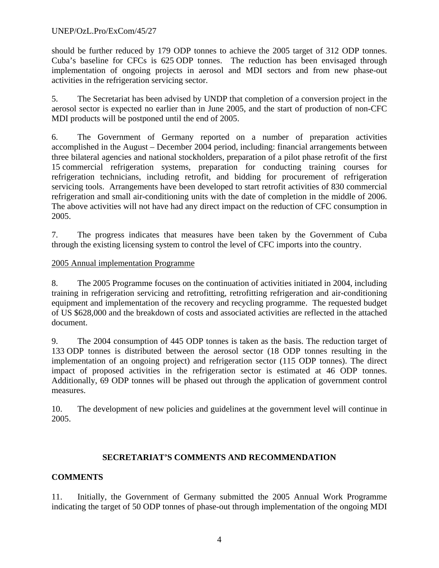#### UNEP/OzL.Pro/ExCom/45/27

should be further reduced by 179 ODP tonnes to achieve the 2005 target of 312 ODP tonnes. Cuba's baseline for CFCs is 625 ODP tonnes. The reduction has been envisaged through implementation of ongoing projects in aerosol and MDI sectors and from new phase-out activities in the refrigeration servicing sector.

5. The Secretariat has been advised by UNDP that completion of a conversion project in the aerosol sector is expected no earlier than in June 2005, and the start of production of non-CFC MDI products will be postponed until the end of 2005.

6. The Government of Germany reported on a number of preparation activities accomplished in the August – December 2004 period, including: financial arrangements between three bilateral agencies and national stockholders, preparation of a pilot phase retrofit of the first 15 commercial refrigeration systems, preparation for conducting training courses for refrigeration technicians, including retrofit, and bidding for procurement of refrigeration servicing tools. Arrangements have been developed to start retrofit activities of 830 commercial refrigeration and small air-conditioning units with the date of completion in the middle of 2006. The above activities will not have had any direct impact on the reduction of CFC consumption in 2005.

7. The progress indicates that measures have been taken by the Government of Cuba through the existing licensing system to control the level of CFC imports into the country.

#### 2005 Annual implementation Programme

8. The 2005 Programme focuses on the continuation of activities initiated in 2004, including training in refrigeration servicing and retrofitting, retrofitting refrigeration and air-conditioning equipment and implementation of the recovery and recycling programme. The requested budget of US \$628,000 and the breakdown of costs and associated activities are reflected in the attached document.

9. The 2004 consumption of 445 ODP tonnes is taken as the basis. The reduction target of 133 ODP tonnes is distributed between the aerosol sector (18 ODP tonnes resulting in the implementation of an ongoing project) and refrigeration sector (115 ODP tonnes). The direct impact of proposed activities in the refrigeration sector is estimated at 46 ODP tonnes. Additionally, 69 ODP tonnes will be phased out through the application of government control measures.

10. The development of new policies and guidelines at the government level will continue in 2005.

## **SECRETARIAT'S COMMENTS AND RECOMMENDATION**

# **COMMENTS**

11. Initially, the Government of Germany submitted the 2005 Annual Work Programme indicating the target of 50 ODP tonnes of phase-out through implementation of the ongoing MDI